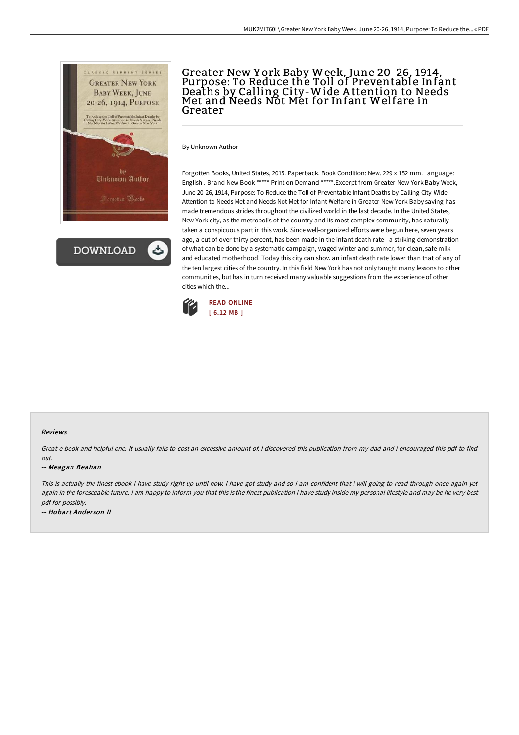

**DOWNLOAD** 

## Greater New Y ork Baby Week, June 20-26, 1914, Purpose: To Reduce the Toll of Preventable Infant Deaths by Calling City-Wide A ttention to Needs Met and Needs Not Met for Infant Welfare in Greater

By Unknown Author

Forgotten Books, United States, 2015. Paperback. Book Condition: New. 229 x 152 mm. Language: English . Brand New Book \*\*\*\*\* Print on Demand \*\*\*\*\*.Excerpt from Greater New York Baby Week, June 20-26, 1914, Purpose: To Reduce the Toll of Preventable Infant Deaths by Calling City-Wide Attention to Needs Met and Needs Not Met for Infant Welfare in Greater New York Baby saving has made tremendous strides throughout the civilized world in the last decade. In the United States, New York city, as the metropolis of the country and its most complex community, has naturally taken a conspicuous part in this work. Since well-organized efforts were begun here, seven years ago, a cut of over thirty percent, has been made in the infant death rate - a striking demonstration of what can be done by a systematic campaign, waged winter and summer, for clean, safe milk and educated motherhood! Today this city can show an infant death rate lower than that of any of the ten largest cities of the country. In this field New York has not only taught many lessons to other communities, but has in turn received many valuable suggestions from the experience of other cities which the...



## Reviews

Great e-book and helpful one. It usually fails to cost an excessive amount of. <sup>I</sup> discovered this publication from my dad and i encouraged this pdf to find out.

## -- Meagan Beahan

This is actually the finest ebook i have study right up until now. I have got study and so i am confident that i will going to read through once again yet again in the foreseeable future. I am happy to inform you that this is the finest publication i have study inside my personal lifestyle and may be he very best pdf for possibly.

-- Hobart Ander son II